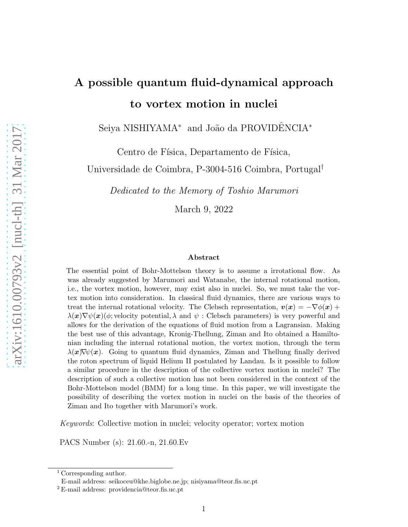# A possible quantum fluid-dynamical approach to vortex motion in nuclei

Seiya NISHIYAMA<sup>\*</sup> and João da PROVIDÊNCIA<sup>\*</sup>

Centro de Física, Departamento de Física,

Universidade de Coimbra, P-3004-516 Coimbra, Portugal†

Dedicated to the Memory of Toshio Marumori

March 9, 2022

#### Abstract

The essential point of Bohr-Mottelson theory is to assume a irrotational flow. As was already suggested by Marumori and Watanabe, the internal rotational motion, i.e., the vortex motion, however, may exist also in nuclei. So, we must take the vortex motion into consideration. In classical fluid dynamics, there are various ways to treat the internal rotational velocity. The Clebsch representation,  $v(x) = -\nabla \phi(x) +$  $\lambda(x)\nabla\psi(x)$  ( $\phi$ ; velocity potential,  $\lambda$  and  $\psi$ : Clebsch parameters) is very powerful and allows for the derivation of the equations of fluid motion from a Lagransian. Making the best use of this advantage, Kronig-Thellung, Ziman and Ito obtained a Hamiltonian including the internal rotational motion, the vortex motion, through the term  $\lambda(x)\nabla\psi(x)$ . Going to quantum fluid dynamics, Ziman and Thellung finally derived the roton spectrum of liquid Helium II postulated by Landau. Is it possible to follow a similar procedure in the description of the collective vortex motion in nuclei? The description of such a collective motion has not been considered in the context of the Bohr-Mottelson model (BMM) for a long time. In this paper, we will investigate the possibility of describing the vortex motion in nuclei on the basis of the theories of Ziman and Ito together with Marumori's work.

Keywords: Collective motion in nuclei; velocity operator; vortex motion

PACS Number (s): 21.60.-n, 21.60.Ev

<sup>1</sup> Corresponding author.

E-mail address: seikoceu@khe.biglobe.ne.jp; nisiyama@teor.fis.uc.pt

<sup>2</sup> E-mail address: providencia@teor.fis.uc.pt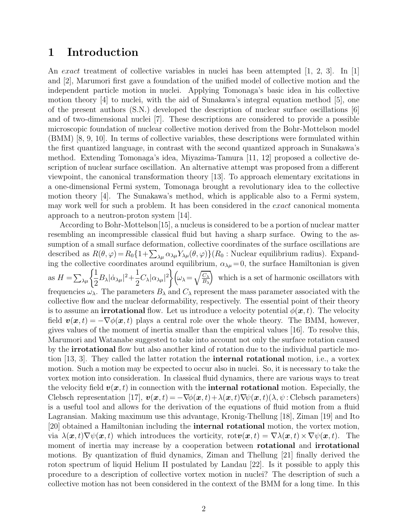### 1 Introduction

An exact treatment of collective variables in nuclei has been attempted  $[1, 2, 3]$ . In  $[1]$ and [2], Marumori first gave a foundation of the unified model of collective motion and the independent particle motion in nuclei. Applying Tomonaga's basic idea in his collective motion theory [4] to nuclei, with the aid of Sunakawa's integral equation method [5], one of the present authors (S.N.) developed the description of nuclear surface oscillations [6] and of two-dimensional nuclei [7]. These descriptions are considered to provide a possible microscopic foundation of nuclear collective motion derived from the Bohr-Mottelson model (BMM) [8, 9, 10]. In terms of collective variables, these descriptions were formulated within the first quantized language, in contrast with the second quantized approach in Sunakawa's method. Extending Tomonaga's idea, Miyazima-Tamura [11, 12] proposed a collective description of nuclear surface oscillation. An alternative attempt was proposed from a different viewpoint, the canonical transformation theory [13]. To approach elementary excitations in a one-dimensional Fermi system, Tomonaga brought a revolutionary idea to the collective motion theory [4]. The Sunakawa's method, which is applicable also to a Fermi system, may work well for such a problem. It has been considered in the exact canonical momenta approach to a neutron-proton system [14].

According to Bohr-Mottelson[15], a nucleus is considered to be a portion of nuclear matter resembling an incompressible classical fluid but having a sharp surface. Owing to the assumption of a small surface deformation, collective coordinates of the surface oscillations are described as  $R(\theta, \varphi) = R_0 \{1 + \sum_{\lambda \mu} \alpha_{\lambda \mu} Y_{\lambda \mu}(\theta, \varphi)\} (R_0 : \text{Nuclear equilibrium radius}).$  Expanding the collective coordinates around equilibrium,  $\alpha_{\lambda\mu}=0$ , the surface Hamiltonian is given as  $H = \sum_{\lambda\mu} \left\{ \frac{1}{2} \right\}$  $\frac{1}{2}B_{\lambda}|\dot{\alpha}_{\lambda\mu}|^2+\frac{1}{2}$  $\frac{1}{2}C_{\lambda}|\alpha_{\lambda\mu}|^2\bigg\{ \omega_{\lambda}=\sqrt{\frac{C_{\lambda}}{B_{\lambda}}}$  $B_{\lambda}$  which is a set of harmonic oscillators with frequencies  $\omega_{\lambda}$ . The parameters  $B_{\lambda}$  and  $C_{\lambda}$  represent the mass parameter associated with the collective flow and the nuclear deformability, respectively. The essential point of their theory is to assume an **irrotational** flow. Let us introduce a velocity potential  $\phi(\mathbf{x}, t)$ . The velocity field  $\mathbf{v}(\mathbf{x}, t) = -\nabla \phi(\mathbf{x}, t)$  plays a central role over the whole theory. The BMM, however, gives values of the moment of inertia smaller than the empirical values [16]. To resolve this, Marumori and Watanabe suggested to take into account not only the surface rotation caused by the irrotational flow but also another kind of rotation due to the individual particle motion [13, 3]. They called the latter rotation the internal rotational motion, i.e., a vortex motion. Such a motion may be expected to occur also in nuclei. So, it is necessary to take the vortex motion into consideration. In classical fluid dynamics, there are various ways to treat the velocity field  $v(x, t)$  in connection with the **internal rotational** motion. Especially, the Clebsch representation [17],  $\mathbf{v}(\mathbf{x}, t) = -\nabla \phi(\mathbf{x}, t) + \lambda(\mathbf{x}, t)\nabla \psi(\mathbf{x}, t)(\lambda, \psi)$ : Clebsch parameters) is a useful tool and allows for the derivation of the equations of fluid motion from a fluid Lagransian. Making maximum use this advantage, Kronig-Thellung [18], Ziman [19] and Ito [20] obtained a Hamiltonian including the internal rotational motion, the vortex motion, via  $\lambda(x, t) \nabla \psi(x, t)$  which introduces the vorticity,  $\text{rot} \mathbf{v}(x, t) = \nabla \lambda(x, t) \times \nabla \psi(x, t)$ . The moment of inertia may increase by a cooperation between **rotational** and **irrotational** motions. By quantization of fluid dynamics, Ziman and Thellung [21] finally derived the roton spectrum of liquid Helium II postulated by Landau [22]. Is it possible to apply this procedure to a description of collective vortex motion in nuclei? The description of such a collective motion has not been considered in the context of the BMM for a long time. In this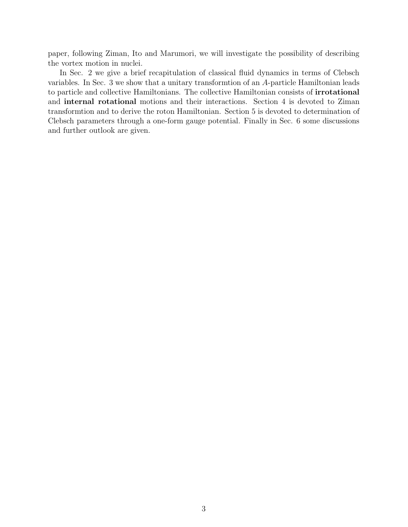paper, following Ziman, Ito and Marumori, we will investigate the possibility of describing the vortex motion in nuclei.

In Sec. 2 we give a brief recapitulation of classical fluid dynamics in terms of Clebsch variables. In Sec. 3 we show that a unitary transformtion of an A-particle Hamiltonian leads to particle and collective Hamiltonians. The collective Hamiltonian consists of irrotational and internal rotational motions and their interactions. Section 4 is devoted to Ziman transformtion and to derive the roton Hamiltonian. Section 5 is devoted to determination of Clebsch parameters through a one-form gauge potential. Finally in Sec. 6 some discussions and further outlook are given.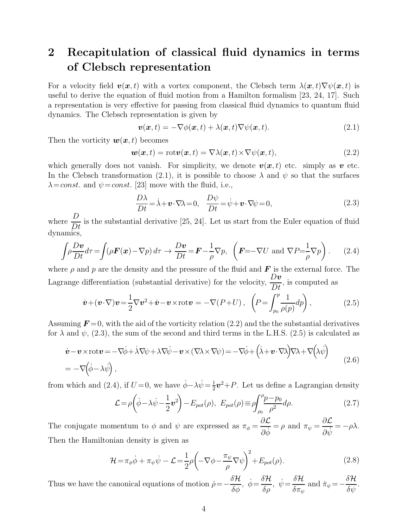## 2 Recapitulation of classical fluid dynamics in terms of Clebsch representation

For a velocity field  $\mathbf{v}(\mathbf{x}, t)$  with a vortex component, the Clebsch term  $\lambda(\mathbf{x}, t) \nabla \psi(\mathbf{x}, t)$  is useful to derive the equation of fluid motion from a Hamilton formalism [23, 24, 17]. Such a representation is very effective for passing from classical fluid dynamics to quantum fluid dynamics. The Clebsch representation is given by

$$
\boldsymbol{v}(\boldsymbol{x},t) = -\nabla\phi(\boldsymbol{x},t) + \lambda(\boldsymbol{x},t)\nabla\psi(\boldsymbol{x},t). \tag{2.1}
$$

Then the vorticity  $w(x, t)$  becomes

$$
\mathbf{w}(\mathbf{x},t) = \mathrm{rot}\mathbf{v}(\mathbf{x},t) = \nabla\lambda(\mathbf{x},t) \times \nabla\psi(\mathbf{x},t),\tag{2.2}
$$

which generally does not vanish. For simplicity, we denote  $v(x, t)$  etc. simply as v etc. In the Clebsch transformation (2.1), it is possible to choose  $\lambda$  and  $\psi$  so that the surfaces  $\lambda = const.$  and  $\psi = const.$  [23] move with the fluid, i.e.,

$$
\frac{D\lambda}{Dt} = \dot{\lambda} + \mathbf{v} \cdot \nabla \lambda = 0, \quad \frac{D\psi}{Dt} = \dot{\psi} + \mathbf{v} \cdot \nabla \psi = 0,
$$
\n(2.3)

where  $\frac{D}{Dt}$  is the substantial derivative [25, 24]. Let us start from the Euler equation of fluid dynamics,

$$
\int \rho \frac{Dv}{Dt} d\tau = \int (\rho \mathbf{F}(\mathbf{x}) - \nabla p) d\tau \to \frac{Dv}{Dt} = \mathbf{F} - \frac{1}{\rho} \nabla p, \quad \left( \mathbf{F} = -\nabla U \text{ and } \nabla P = \frac{1}{\rho} \nabla p \right). \tag{2.4}
$$

where  $\rho$  and p are the density and the pressure of the fluid and  $\bf{F}$  is the external force. The Lagrange differentiation (substantial derivative) for the velocity,  $D\bm{v}$  $\frac{1}{Dt}$ , is computed as

$$
\dot{\boldsymbol{v}} + (\boldsymbol{v} \cdot \nabla) \boldsymbol{v} = \frac{1}{2} \nabla \boldsymbol{v}^2 + \dot{\boldsymbol{v}} - \boldsymbol{v} \times \text{rot} \boldsymbol{v} = -\nabla (P + U) \,, \quad \left( P = \int_{p_0}^p \frac{1}{\rho(p)} dp \right), \tag{2.5}
$$

Assuming  $\mathbf{F} = 0$ , with the aid of the vorticity relation (2.2) and the the substantial derivatives for  $\lambda$  and  $\psi$ , (2.3), the sum of the second and third terms in the L.H.S. (2.5) is calculated as

$$
\begin{split} \dot{\mathbf{v}} - \mathbf{v} \times \text{rot} \mathbf{v} &= -\nabla \dot{\phi} + \dot{\lambda} \nabla \psi + \lambda \nabla \dot{\psi} - \mathbf{v} \times (\nabla \lambda \times \nabla \psi) = -\nabla \dot{\phi} + (\dot{\lambda} + \mathbf{v} \cdot \nabla \lambda) \nabla \lambda + \nabla (\lambda \dot{\psi}) \\ &= -\nabla (\dot{\phi} - \lambda \dot{\psi}), \end{split} \tag{2.6}
$$

from which and (2.4), if  $U=0$ , we have  $\dot{\phi}-\lambda\dot{\psi}=\frac{1}{2}$  $\frac{1}{2}v^2 + P$ . Let us define a Lagrangian density

$$
\mathcal{L} = \rho \left( \dot{\phi} - \lambda \dot{\psi} - \frac{1}{2} \mathbf{v}^2 \right) - E_{pot}(\rho), \ E_{pot}(\rho) \equiv \rho \int_{\rho_0}^{\rho} \frac{p - p_0}{\rho^2} d\rho. \tag{2.7}
$$

The conjugate momentum to  $\phi$  and  $\psi$  are expressed as  $\pi_{\phi} = \frac{\partial \mathcal{L}}{\partial \dot{\phi}}$  $\frac{\partial \mathcal{L}}{\partial \dot{\phi}} = \rho \text{ and } \pi_{\psi} = \frac{\partial \mathcal{L}}{\partial \dot{\psi}}$  $rac{\partial \mathcal{L}}{\partial \dot{\psi}} = -\rho \lambda.$ Then the Hamiltonian density is given as

$$
\mathcal{H} = \pi_{\phi}\dot{\phi} + \pi_{\psi}\dot{\psi} - \mathcal{L} = \frac{1}{2}\rho \left( -\nabla\phi - \frac{\pi_{\psi}}{\rho}\nabla\psi \right)^{2} + E_{pot}(\rho). \tag{2.8}
$$

Thus we have the canonical equations of motion  $\rho =$  –  $\frac{\delta {\cal H}}{\delta \phi},\,\,\dot{\phi}\!=\!\frac{\delta {\cal H}}{\delta \rho},\,\,\dot{\psi}\!=\!\frac{\delta {\cal H}}{\delta \pi_{\psi}}$  $\frac{\partial \mathcal{L}}{\partial \pi_{\psi}}$  and  $\dot{\pi}_{\psi}$  = - $\frac{\delta \mathcal{H}}{\delta \mathcal{L}}$  $rac{\delta \mathcal{W}}{\delta \psi}$ .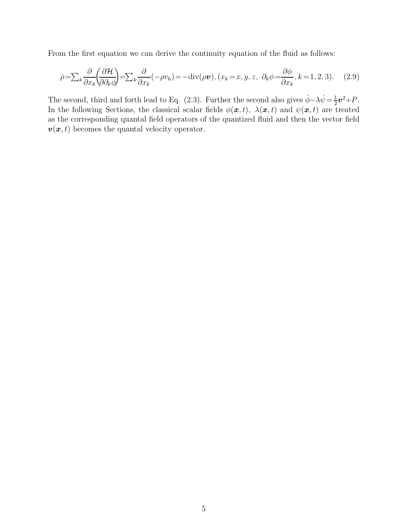From the first equation we can derive the continuity equation of the fluid as follows:

$$
\dot{\rho} = \sum_{k} \frac{\partial}{\partial x_{k}} \left( \frac{\partial \mathcal{H}}{\partial \partial_{k} \phi} \right) = \sum_{k} \frac{\partial}{\partial x_{k}} (-\rho v_{k}) = -\text{div}(\rho \boldsymbol{v}), (x_{k} = x, y, z, \ \partial_{k} \phi = \frac{\partial \phi}{\partial x_{k}}, k = 1, 2, 3). \tag{2.9}
$$

The second, third and forth lead to Eq. (2.3). Further the second also gives  $\dot{\phi}-\lambda\dot{\psi}=\frac{1}{2}$  $rac{1}{2}v^2 + P$ . In the following Sections, the classical scalar fields  $\phi(\mathbf{x}, t)$ ,  $\lambda(\mathbf{x}, t)$  and  $\psi(\mathbf{x}, t)$  are treated as the corresponding quantal field operators of the quantized fluid and then the vector field  $v(x, t)$  becomes the quantal velocity operator.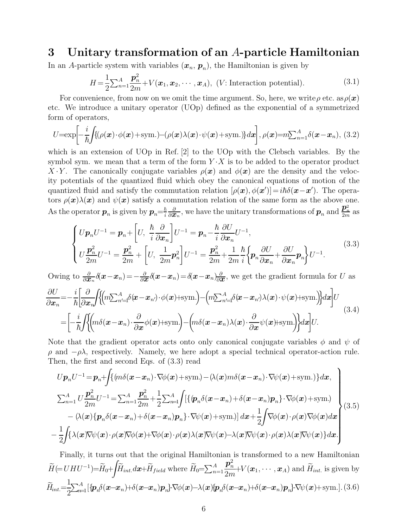### 3 Unitary transformation of an A-particle Hamiltonian

In an A-particle system with variables  $(x_n, p_n)$ , the Hamiltonian is given by

$$
H = \frac{1}{2} \sum_{n=1}^{A} \frac{\boldsymbol{p}_n^2}{2m} + V(\boldsymbol{x}_1, \boldsymbol{x}_2, \cdots, \boldsymbol{x}_A), \ (V: \text{Interaction potential}). \tag{3.1}
$$

For convenience, from now on we omit the time argument. So, here, we write  $\rho$  etc. as  $\rho(\boldsymbol{x})$ etc. We introduce a unitary operator (UOp) defined as the exponential of a symmetrized form of operators,

$$
U=\exp\left[-\frac{i}{\hbar}\int\{(\rho(\boldsymbol{x})\cdot\phi(\boldsymbol{x})+\text{sym.})-(\rho(\boldsymbol{x})\lambda(\boldsymbol{x})\cdot\psi(\boldsymbol{x})+\text{sym.})\}d\boldsymbol{x}\right],\rho(\boldsymbol{x})=m\sum_{n=1}^{A}\delta(\boldsymbol{x}-\boldsymbol{x}_{n}),\tag{3.2}
$$

which is an extension of UOp in Ref. [2] to the UOp with the Clebsch variables. By the symbol sym. we mean that a term of the form  $Y \cdot X$  is to be added to the operator product X · Y. The canonically conjugate variables  $\rho(x)$  and  $\phi(x)$  are the density and the velocity potentials of the quantized fluid which obey the canonical equations of motion of the quantized fluid and satisfy the commutation relation  $[\rho(\bm{x}), \phi(\bm{x}')] = i\hbar \delta(\bm{x} - \bm{x}')$ . The operators  $\rho(x)\lambda(x)$  and  $\psi(x)$  satisfy a commutation relation of the same form as the above one. As the operator  $p_n$  is given by  $p_n = \frac{\hbar}{i}$ i  $\frac{\partial}{\partial \bm{x}_n}$ , we have the unitary transformations of  $\bm{p}_n$  and  $\frac{\bm{p}_n^2}{2m}$  as

$$
\begin{cases}\nU\mathbf{p}_{n}U^{-1} = \mathbf{p}_{n} + \left[U, \frac{\hbar}{i} \frac{\partial}{\partial \mathbf{x}_{n}}\right]U^{-1} = \mathbf{p}_{n} - \frac{\hbar}{i} \frac{\partial U}{\partial \mathbf{x}_{n}}U^{-1}, \\
U\frac{\mathbf{p}_{n}^{2}}{2m}U^{-1} = \frac{\mathbf{p}_{n}^{2}}{2m} + \left[U, \frac{1}{2m}\mathbf{p}_{n}^{2}\right]U^{-1} = \frac{\mathbf{p}_{n}^{2}}{2m} + \frac{1}{2m} \frac{\hbar}{i} \left\{\mathbf{p}_{n} \frac{\partial U}{\partial \mathbf{x}_{n}} + \frac{\partial U}{\partial \mathbf{x}_{n}} \mathbf{p}_{n}\right\}U^{-1}.\n\end{cases} (3.3)
$$

Owing to  $\frac{\partial}{\partial x_n}\delta(x-x_n)=-\frac{\partial}{\partial x}\delta(x-x_n)=\delta(x-x_n)\frac{\partial}{\partial x}$ , we get the gradient formula for U as

$$
\frac{\partial U}{\partial x_n} = -\frac{i}{\hbar} \left[ \frac{\partial}{\partial x_n} \int \left\{ \left( m \sum_{n'=1}^A \delta(\mathbf{x} - \mathbf{x}_n) \cdot \phi(\mathbf{x}) + \text{sym.} \right) - \left( m \sum_{n'=1}^A \delta(\mathbf{x} - \mathbf{x}_n) \lambda(\mathbf{x}) \cdot \psi(\mathbf{x}) + \text{sym.} \right) \right\} d\mathbf{x} \right] U
$$
\n
$$
= \left[ -\frac{i}{\hbar} \int \left\{ \left( m \delta(\mathbf{x} - \mathbf{x}_n) \cdot \frac{\partial}{\partial \mathbf{x}} \phi(\mathbf{x}) + \text{sym.} \right) - \left( m \delta(\mathbf{x} - \mathbf{x}_n) \lambda(\mathbf{x}) \cdot \frac{\partial}{\partial \mathbf{x}} \psi(\mathbf{x}) + \text{sym.} \right) \right\} d\mathbf{x} \right] U.
$$
\n(3.4)

Note that the gradient operator acts onto only canonical conjugate variables  $\phi$  and  $\psi$  of  $ρ$  and  $-ρλ$ , respectively. Namely, we here adopt a special technical operator-action rule. Then, the first and second Eqs. of (3.3) read

$$
Up_nU^{-1} = \mathbf{p}_n + \int \{ (m\delta(\mathbf{x} - \mathbf{x}_n) \cdot \nabla \phi(\mathbf{x}) + \text{sym.}) - (\lambda(\mathbf{x})m\delta(\mathbf{x} - \mathbf{x}_n) \cdot \nabla \psi(\mathbf{x}) + \text{sym.}) \} d\mathbf{x},
$$
  
\n
$$
\sum_{n=1}^A U \frac{\mathbf{p}_n^2}{2m} U^{-1} = \sum_{n=1}^A \frac{\mathbf{p}_n^2}{2m} + \frac{1}{2} \sum_{n=1}^A \int \left[ \{ (\mathbf{p}_n \delta(\mathbf{x} - \mathbf{x}_n) + \delta(\mathbf{x} - \mathbf{x}_n) \mathbf{p}_n \} \cdot \nabla \phi(\mathbf{x}) + \text{sym.}) - (\lambda(\mathbf{x}) \{ \mathbf{p}_n \delta(\mathbf{x} - \mathbf{x}_n) + \delta(\mathbf{x} - \mathbf{x}_n) \mathbf{p}_n \} \cdot \nabla \psi(\mathbf{x}) + \text{sym.}) \right] d\mathbf{x} + \frac{1}{2} \int \nabla \phi(\mathbf{x}) \cdot \rho(\mathbf{x}) \nabla \phi(\mathbf{x}) d\mathbf{x} - \frac{1}{2} \int \{ \lambda(\mathbf{x}) \nabla \psi(\mathbf{x}) \cdot \rho(\mathbf{x}) \nabla \phi(\mathbf{x}) + \nabla \phi(\mathbf{x}) \cdot \rho(\mathbf{x}) \lambda(\mathbf{x}) \nabla \psi(\mathbf{x}) \cdot \rho(\mathbf{x}) \lambda(\mathbf{x}) \nabla \psi(\mathbf{x}) \cdot \rho(\mathbf{x}) \lambda(\mathbf{x}) \nabla \psi(\mathbf{x}) \} d\mathbf{x}.
$$
\n(3.5)

Finally, it turns out that the original Hamiltonian is transformed to a new Hamiltonian  $\widetilde{H} (= U H U^{-1}) = \widetilde{H}_0 +$ Z  $\widetilde{H}_{int.} d\bm{x} + \widetilde{H}_{field}$  where  $\widetilde{H}_{0} = \sum_{n=1}^{A}$  $\boldsymbol{p}_n^2$ n  $\frac{\boldsymbol{P}_n}{2m}$  +V  $(\boldsymbol{x}_1, \cdots, \boldsymbol{x}_A)$  and  $H_{int.}$  is given by  $\widetilde{H}_{int} = \frac{1}{2}$ 2  $\sum_{n=1}^{A} [\{p_n \delta(\mathbf{x}-\mathbf{x}_n)+\delta(\mathbf{x}-\mathbf{x}_n)\mathbf{p}_n\}\cdot\nabla \phi(\mathbf{x}) - \lambda(\mathbf{x})\{p_n \delta(\mathbf{x}-\mathbf{x}_n)+\delta(\mathbf{x}-\mathbf{x}_n)\mathbf{p}_n\}\cdot\nabla \psi(\mathbf{x}) + \text{sym.}].(3.6)$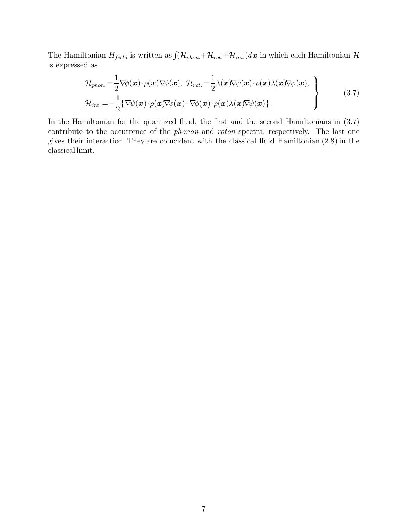The Hamiltonian  $H_{field}$  is written as  $\int (\mathcal{H}_{phon.} + \mathcal{H}_{rot.} + \mathcal{H}_{int.})d\mathbf{x}$  in which each Hamiltonian  $\mathcal{H}$ is expressed as

$$
\mathcal{H}_{phon.} = \frac{1}{2} \nabla \phi(\mathbf{x}) \cdot \rho(\mathbf{x}) \nabla \phi(\mathbf{x}), \quad \mathcal{H}_{rot.} = \frac{1}{2} \lambda(\mathbf{x}) \nabla \psi(\mathbf{x}) \cdot \rho(\mathbf{x}) \lambda(\mathbf{x}) \nabla \psi(\mathbf{x}),
$$
\n
$$
\mathcal{H}_{int.} = -\frac{1}{2} \{ \nabla \psi(\mathbf{x}) \cdot \rho(\mathbf{x}) \nabla \phi(\mathbf{x}) + \nabla \phi(\mathbf{x}) \cdot \rho(\mathbf{x}) \lambda(\mathbf{x}) \nabla \psi(\mathbf{x}) \}.
$$
\n(3.7)

In the Hamiltonian for the quantized fluid, the first and the second Hamiltonians in (3.7) contribute to the occurrence of the *phonon* and *roton* spectra, respectively. The last one gives their interaction. They are coincident with the classical fluid Hamiltonian (2.8) in the classical limit.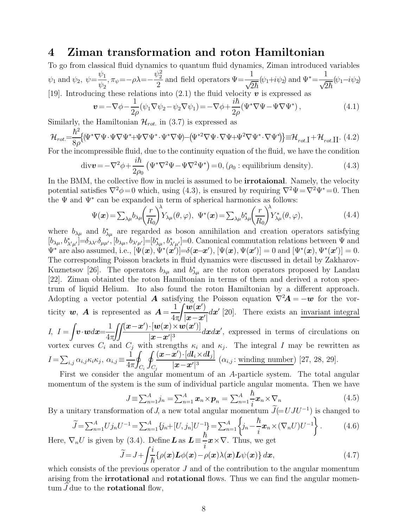### 4 Ziman transformation and roton Hamiltonian

To go from classical fluid dynamics to quantum fluid dynamics, Ziman introduced variables  $\psi_1$  and  $\psi_2$ ,  $\psi =$  $\psi_1$  $\frac{\varphi_1}{\psi_2}, \pi_\psi = -\rho\lambda = \psi_2^2$ 2 and field operators  $\Psi = \frac{1}{\sqrt{2\hbar}}$  $(\psi_1 + i\psi_2)$  and  $\Psi^* = \frac{1}{6}$  $\frac{1}{\sqrt{2\hbar}}(\psi_1 - i\psi_2)$ [19]. Introducing these relations into (2.1) the fluid velocity  $\boldsymbol{v}$  is expressed as

$$
\mathbf{v} = -\nabla\phi - \frac{1}{2\rho}(\psi_1 \nabla \psi_2 - \psi_2 \nabla \psi_1) = -\nabla\phi + \frac{i\hbar}{2\rho}(\Psi^* \nabla\Psi - \Psi \nabla\Psi^*),
$$
(4.1)

Similarly, the Hamiltonian  $\mathcal{H}_{rot.}$  in (3.7) is expressed as

$$
\mathcal{H}_{rot} = \frac{\hbar^2}{8\rho} \{ (\Psi^* \nabla \Psi \cdot \Psi \nabla \Psi^* + \Psi \nabla \Psi^* \cdot \Psi^* \nabla \Psi) - (\Psi^{*2} \nabla \Psi \cdot \nabla \Psi + \Psi^2 \nabla \Psi^* \cdot \nabla \Psi^* ) \} \equiv \mathcal{H}_{rot} + \mathcal{H}_{rot} \Pi. (4.2)
$$

For the incompressible fluid, due to the continuity equation of the fluid, we have the condition

$$
\text{div}\mathbf{v} = -\nabla^2 \phi + \frac{i\hbar}{2\rho_0} \left( \Psi^* \nabla^2 \Psi - \Psi \nabla^2 \Psi^* \right) = 0, \, (\rho_0 : \text{equilibrium density}).\tag{4.3}
$$

In the BMM, the collective flow in nuclei is assumed to be **irrotaional**. Namely, the velocity potential satisfies  $\nabla^2 \phi = 0$  which, using (4.3), is ensured by requiring  $\nabla^2 \Psi = \nabla^2 \Psi^* = 0$ . Then the  $\Psi$  and  $\Psi^*$  can be expanded in term of spherical harmonics as follows:

$$
\Psi(\boldsymbol{x}) = \sum_{\lambda\mu} b_{\lambda\mu} \left(\frac{r}{R_0}\right)^{\lambda} Y_{\lambda\mu}(\theta,\varphi), \quad \Psi^*(\boldsymbol{x}) = \sum_{\lambda\mu} b_{\lambda\mu}^* \left(\frac{r}{R_0}\right)^{\lambda} Y_{\lambda\mu}^*(\theta,\varphi),\tag{4.4}
$$

where  $b_{\lambda\mu}$  and  $b_{\lambda\mu}^*$  are regarded as boson annihilation and creation operators satisfying  $[b_{\lambda\mu},b^*_{\lambda'\mu'}]=\delta_{\lambda\lambda'}\delta_{\mu\mu'},[b_{\lambda\mu},b_{\lambda'\mu'}]=[b^*_{\lambda\mu},b^*_{\lambda'\mu'}]=0$ . Canonical commutation relations between  $\Psi$  and  $\Psi^*$  are also assumed, i.e.,  $[\Psi(\boldsymbol{x}), \Psi^*(\boldsymbol{x}')] = \delta(\boldsymbol{x}-\boldsymbol{x}'), [\Psi(\boldsymbol{x}), \Psi(\boldsymbol{x}')] = 0$  and  $[\Psi^*(\boldsymbol{x}), \Psi^*(\boldsymbol{x}')] = 0$ . The corresponding Poisson brackets in fluid dynamics were discussed in detail by Zakharov-Kuznetsov [26]. The operators  $b_{\lambda\mu}$  and  $b_{\lambda\mu}^*$  are the roton operators proposed by Landau [22]. Ziman obtainted the roton Hamiltonian in terms of them and derived a roton spectrum of liquid Helium. Ito also found the roton Hamiltonian by a different approach. Adopting a vector potential **A** satisfying the Poisson equation  $\nabla^2 \mathbf{A} = -\mathbf{w}$  for the vorticity w, A is represented as  $A = \frac{1}{4}$  $4π$  $-\left(\frac{w(x)}{w(x)}dx'$  [20]. There exists an invariant integral  $|x-x'|$  $I, I =$ Z  $\boldsymbol{v}\!\cdot\!\boldsymbol{w}d\boldsymbol{x}\!\!=\!\!\frac{1}{4\pi^2}$  $4π$  $\int\int\int (x-x')\cdot [w(x)\!\times\!w(x')]$  $\frac{|u(x) \wedge u(x)|}{|x-x'|^3} dxdx'$ , expressed in terms of circulations on vortex curves  $C_i$  and  $C_j$  with strengths  $\kappa_i$  and  $\kappa_j$ . The integral I may be rewritten as  $I = \sum_{i,j} \alpha_{i,j} \kappa_i \kappa_j, \ \alpha_{i,j} \equiv \frac{1}{4\pi}$  $4\pi$ i<br>I  $C_i$  $C_j$  $(\boldsymbol{x} - \boldsymbol{x}')\!\cdot\! [d \boldsymbol{l}_i \!\times\! d \boldsymbol{l}_j]$  $\frac{z}{|x-x'|^3}$  ( $\alpha_{i,j}$ : winding number) [27, 28, 29].

First we consider the angular momentum of an A-particle system. The total angular momentum of the system is the sum of individual particle angular momenta. Then we have

$$
J \equiv \sum_{n=1}^{A} j_n = \sum_{n=1}^{A} \boldsymbol{x}_n \times \boldsymbol{p}_n = \sum_{n=1}^{A} \frac{\hbar}{i} \boldsymbol{x}_n \times \nabla_n
$$
\n(4.5)

By a unitary transformation of J, a new total angular momentum  $\widetilde{J}$ (=UJU<sup>-1</sup>) is changed to

$$
\widetilde{J} = \sum_{n=1}^{A} U j_n U^{-1} = \sum_{n=1}^{A} \{j_n + [U, j_n] U^{-1}\} = \sum_{n=1}^{A} \{j_n - \frac{\hbar}{i} x_n \times (\nabla_n U) U^{-1}\}.
$$
\n(4.6)

Here,  $\nabla_n U$  is given by (3.4). Define  $\boldsymbol{L}$  as  $\boldsymbol{L} \equiv$  $\frac{\partial}{\partial x}$   $\mathbf{x} \times \nabla$ . Thus, we get  $\int i$ 

$$
\widetilde{J} = J + \int \frac{i}{\hbar} \{ \rho(\mathbf{x}) \mathbf{L} \phi(\mathbf{x}) - \rho(\mathbf{x}) \lambda(\mathbf{x}) \mathbf{L} \psi(\mathbf{x}) \} d\mathbf{x},\tag{4.7}
$$

which consists of the previous operator  $J$  and of the contribution to the angular momentum arising from the irrotational and rotational flows. Thus we can find the angular momen- $\tan J$  due to the **rotational** flow,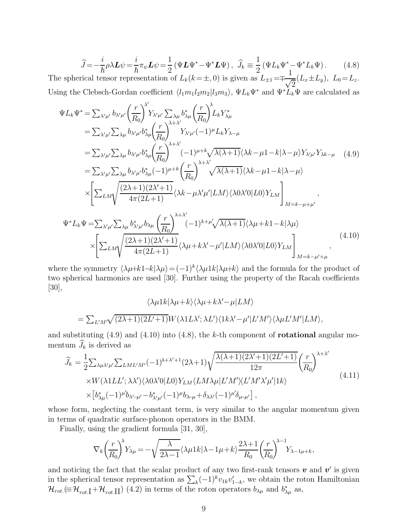$$
\widehat{J} = -\frac{i}{\hbar} \rho \lambda \mathbf{L} \psi = \frac{i}{\hbar} \pi_{\psi} \mathbf{L} \psi = \frac{1}{2} \left( \Psi \mathbf{L} \Psi^* - \Psi^* \mathbf{L} \Psi \right), \quad \widehat{J}_k \equiv \frac{1}{2} \left( \Psi L_k \Psi^* - \Psi^* L_k \Psi \right). \tag{4.8}
$$

The spherical tensor representation of  $L_k(k=\pm, 0)$  is given as  $L_{\pm 1} = \pm \frac{1}{\sqrt{k}}$  $\frac{1}{\sqrt{2}}(L_x \pm L_y), L_0 = L_z.$ Using the Clebsch-Gordan coefficient  $\langle l_1m_1l_2m_2|l_3m_3\rangle$ ,  $\Psi L_k\Psi^*$  and  $\Psi^*\dot L_k\Psi$  are calculated as

$$
\Psi L_{k} \Psi^{*} = \sum_{\lambda' \mu'} b_{\lambda' \mu'} \left(\frac{r}{R_{0}}\right)^{\lambda'} Y_{\lambda' \mu'} \sum_{\lambda \mu} b_{\lambda \mu}^{*} \left(\frac{r}{R_{0}}\right)^{\lambda} L_{k} Y_{\lambda \mu}^{*}
$$
\n
$$
= \sum_{\lambda' \mu'} \sum_{\lambda \mu} b_{\lambda' \mu'} b_{\lambda \mu}^{*} \left(\frac{r}{R_{0}}\right)^{\lambda + \lambda'} Y_{\lambda' \mu'} (-1)^{\mu} L_{k} Y_{\lambda - \mu}
$$
\n
$$
= \sum_{\lambda' \mu'} \sum_{\lambda \mu} b_{\lambda' \mu'} b_{\lambda \mu}^{*} \left(\frac{r}{R_{0}}\right)^{\lambda + \lambda'} (-1)^{\mu + k} \sqrt{\lambda(\lambda + 1)} \langle \lambda k - \mu 1 - k | \lambda - \mu \rangle Y_{\lambda' \mu'} Y_{\lambda k - \mu} \quad (4.9)
$$
\n
$$
= \sum_{\lambda' \mu'} \sum_{\lambda \mu} b_{\lambda' \mu'} b_{\lambda \mu}^{*} (-1)^{\mu + k} \left(\frac{r}{R_{0}}\right)^{\lambda + \lambda'} \sqrt{\lambda(\lambda + 1)} \langle \lambda k - \mu 1 - k | \lambda - \mu \rangle
$$
\n
$$
\times \left[ \sum_{LM} \sqrt{\frac{(2\lambda + 1)(2\lambda' + 1)}{4\pi(2L + 1)}} \langle \lambda k - \mu \lambda' \mu' | LM \rangle \langle \lambda 0 \lambda' 0 | L 0 \rangle Y_{LM} \right]_{M = k - \mu + \mu'}
$$
\n
$$
\Psi^{*} L_{k} \Psi = \sum_{\lambda' \mu'} \sum_{\lambda \mu} b_{\lambda' \mu}^{*} b_{\lambda \mu} \left(\frac{r}{R_{0}}\right)^{\lambda + \lambda'} (-1)^{k + \mu'} \sqrt{\lambda(\lambda + 1)} \langle \lambda \mu + k \cdot 1 - k | \lambda \mu \rangle
$$
\n
$$
\times \left[ \sum_{LM} \sqrt{\frac{(2\lambda + 1)(2\lambda' + 1)}{4\pi(2L + 1)}} \langle \lambda \mu + k \lambda' - \mu' | LM \rangle \langle \lambda 0 \lambda' 0 | L 0 \rangle Y_{LM} \right]_{M = k - \mu' + \mu} \quad (4.10)
$$

where the symmetry  $\langle \lambda \mu+k1-k|\lambda \mu\rangle = (-1)^k \langle \lambda \mu 1k|\lambda \mu+k\rangle$  and the formula for the product of two spherical harmonics are used [30]. Further using the property of the Racah coefficients [30],

$$
\langle \lambda \mu 1k|\lambda \mu + k \rangle \langle \lambda \mu + k \lambda' - \mu | LM \rangle
$$
  
=  $\sum_{L'M'} \sqrt{(2\lambda + 1)(2L' + 1)} W(\lambda 1L\lambda'; \lambda L') \langle 1k\lambda' - \mu' | L'M' \rangle \langle \lambda \mu L'M' | LM \rangle$ ,

and substituting  $(4.9)$  and  $(4.10)$  into  $(4.8)$ , the k-th component of **rotational** angular momentum  $\widehat{J}_k$  is derived as

$$
\hat{J}_k = \frac{1}{2} \sum_{\lambda \mu \lambda' \mu'} \sum_{LMLM'} (-1)^{\lambda + \lambda' + 1} (2\lambda + 1) \sqrt{\frac{\lambda(\lambda + 1)(2\lambda' + 1)(2L' + 1)}{12\pi}} \left(\frac{r}{R_0}\right)^{\lambda + \lambda'}
$$
\n
$$
\times W(\lambda 1LL'; \lambda \lambda') \langle \lambda 0 \lambda' 0 | L 0 \rangle Y_{LM} \langle LM \lambda \mu | L'M' \rangle \langle L'M' \lambda' \mu' | 1k \rangle
$$
\n
$$
\times \left[ b_{\lambda \mu}^* (-1)^{\mu'} b_{\lambda' \mu'} - b_{\lambda' \mu'}^* (-1)^{\mu} b_{\lambda \mu} + \delta_{\lambda \lambda'} (-1)^{\mu'} \delta_{\mu \mu'} \right],
$$
\n(4.11)

whose form, neglecting the constant term, is very similar to the angular momentum given in terms of quadratic surface-phonon operators in the BMM.

Finally, using the gradient formula [31, 30],

$$
\nabla_k \left(\frac{r}{R_0}\right)^{\lambda} Y_{\lambda \mu} = -\sqrt{\frac{\lambda}{2\lambda - 1}} \langle \lambda \mu 1k | \lambda - 1\mu + k \rangle \frac{2\lambda + 1}{R_0} \left(\frac{r}{R_0}\right)^{\lambda - 1} Y_{\lambda - 1\mu + k},
$$

and noticing the fact that the scalar product of any two first-rank tensors  $v$  and  $v'$  is given in the spherical tensor representation as  $\sum_{k}(-1)^{k}v_{1k}v'_{1-k}$ , we obtain the roton Hamiltonian  $\mathcal{H}_{rot.} (\equiv \mathcal{H}_{rot. \parallel} + \mathcal{H}_{rot. \parallel \parallel})$  (4.2) in terms of the roton operators  $b_{\lambda\mu}$  and  $b_{\lambda\mu}^*$  as,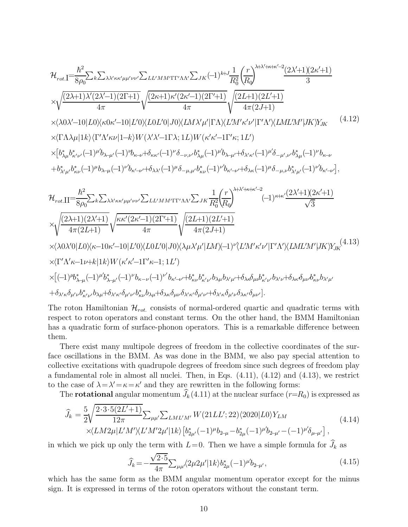$$
\mathcal{H}_{rot.I} = \frac{\hbar^{2}}{8\rho_{0}} \sum_{k} \sum_{\lambda \lambda' \kappa \kappa' \mu \mu' \nu \nu'} \sum_{LL} \sum_{M} \gamma_{1} \gamma_{2} \left(-1\right)^{k+j} \frac{1}{R_{0}^{2}} \left(\frac{r}{R_{0}}\right)^{\lambda + \lambda' + \kappa + \kappa' - 2} \frac{(2\lambda' + 1)(2\kappa' + 1)}{3} \times \sqrt{\frac{(2\lambda + 1)\lambda'(2\lambda' - 1)(2\Gamma + 1)}{4\pi}} \sqrt{\frac{(2\kappa + 1)\kappa'(2\kappa' - 1)(2\Gamma' + 1)}{4\pi}} \sqrt{\frac{(2L + 1)(2L' + 1)}{4\pi(2J + 1)}} \times \langle \lambda 0\lambda' - 10|L0\rangle \langle \kappa 0\kappa' - 10|L'0\rangle \langle L0L'0|J0\rangle \langle LM\lambda'\mu'| \Gamma \Lambda \rangle \langle L'M'\kappa'\nu'| \Gamma'\Lambda' \rangle \langle LML'M'\mu|K\rangle \chi_{JK} \qquad (4.12)
$$
  
\n
$$
\times \langle \Gamma \Lambda \lambda \mu | 1k\rangle \langle \Gamma'\Lambda' \kappa \nu | 1 - k\rangle W(\lambda'\lambda' - 1\Gamma \lambda; 1L) W(\kappa' \kappa' - 1\Gamma' \kappa; 1L') \times \left[ b_{\lambda\mu}^* b_{\kappa'\nu}^* (-1)^{\mu} b_{\lambda-\mu'} (-1)^{\nu} b_{\kappa-\nu} + \delta_{\kappa\kappa'} (-1)^{\nu} \delta_{-\mu,\nu'} b_{\lambda\mu}^* (-1)^{\mu'} b_{\lambda-\mu'} + \delta_{\lambda'\kappa'} (-1)^{\mu'} b_{\kappa'-\nu} + \delta_{\lambda'\mu'} (-1)^{\nu'} b_{\kappa'-\nu'} \right],
$$
  
\n
$$
+ b_{\lambda'\mu}^* b_{\kappa\nu}^* (-1)^{\mu} b_{\lambda-\mu} (-1)^{\nu'} b_{\kappa'-\nu} + \delta_{\lambda\lambda'} (-1)^{\mu} \delta_{-\mu,\mu'} b_{\kappa\nu}^* (-1)^{\nu'} b_{\kappa'-\nu} + \delta_{\lambda\kappa} (-1)^{\mu'} b_{\kappa'-\nu'} + \delta_{\lambda'\mu'} (-1)^{\nu'} b_{\kappa'-\nu
$$

The roton Hamiltonian  $\mathcal{H}_{rot.}$  consists of normal-ordered quartic and quadratic terms with respect to roton operators and constant terms. On the other hand, the BMM Hamiltonian has a quadratic form of surface-phonon operators. This is a remarkable difference between them.

There exist many multipole degrees of freedom in the collective coordinates of the surface oscillations in the BMM. As was done in the BMM, we also pay special attention to collective excitations with quadrupole degrees of freedom since such degrees of freedom play a fundamental role in almost all nuclei. Then, in Eqs. (4.11), (4.12) and (4.13), we restrict to the case of  $\lambda = \lambda' = \kappa = \kappa'$  and they are rewritten in the following forms:

The **rotational** angular momentum  $\widehat{J}_k(4.11)$  at the nuclear surface  $(r=R_0)$  is expressed as

$$
\begin{split} \widehat{J}_{k} &= \frac{5}{2} \sqrt{\frac{2 \cdot 3 \cdot 5(2L'+1)}{12\pi}} \sum_{\mu\mu'} \sum_{LML'M'} W(21LL';22) \langle 2020|L0 \rangle Y_{LM} \\ &\times \langle LM2\mu|L'M'\rangle \langle L'M'2\mu'|1k \rangle \left[b_{2\mu'}^{*}(-1)^{\mu}b_{2\mu} - b_{2\mu}^{*}(-1)^{\mu'}b_{2\mu'} - (-1)^{\mu'}\delta_{\mu-\mu'}\right], \end{split} \tag{4.14}
$$

in which we pick up only the term with  $L=0$ . Then we have a simple formula for  $\widehat{J}_k$  as

$$
\widehat{J}_k = -\frac{\sqrt{2 \cdot 5}}{4\pi} \sum_{\mu\mu'} \langle 2\mu 2\mu' | 1k \rangle b_{2\mu}^*(-1)^{\mu'} b_{2\mu'},
$$
\n(4.15)

which has the same form as the BMM angular momentum operator except for the minus sign. It is expressed in terms of the roton operators without the constant term.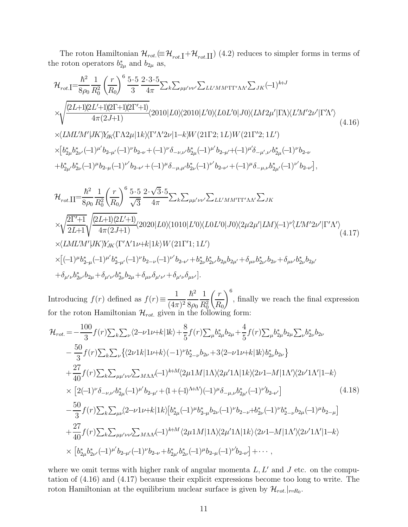The roton Hamiltonian  $\mathcal{H}_{rot} \equiv \mathcal{H}_{rot} + \mathcal{H}_{rot}$  (4.2) reduces to simpler forms in terms of the roton operators  $b_{2\mu}^*$  and  $b_{2\mu}$  as,

$$
\mathcal{H}_{rot.I} = \frac{\hbar^2}{8\rho_0} \frac{1}{R_0^2} \left(\frac{r}{R_0}\right)^6 \frac{5 \cdot 5}{3} \frac{2 \cdot 3 \cdot 5}{4\pi} \sum_k \sum_{\mu\mu'\nu\nu'} \sum_{LL'MM' \Gamma\Gamma'\Lambda\Lambda'} \sum_{JK} (-1)^{k+J} \times \sqrt{\frac{(2L+1)(2L'+1)(2\Gamma+1)(2\Gamma'+1)}{4\pi (2J+1)}} \langle 2010|L0\rangle\langle 2010|L'0\rangle\langle L0L'0|J0\rangle\langle LM2\mu'| \Gamma\Lambda\rangle\langle L'M'2\nu'| \Gamma'\Lambda'\rangle \times \langle LML'M'|JK\rangle\chi_K\langle \Gamma\Lambda 2\mu|1k\rangle\langle \Gamma'\Lambda'2\nu|1-k\rangle W(21\Gamma2;1L)W(21\Gamma'2;1L') \times [b_{2\mu}^* b_{2\nu'}^*(-1)^{\mu'} b_{2-\mu'}(-1)^{\nu} b_{2-\nu} + (-1)^{\nu} \delta_{-\nu,\nu'} b_{2\mu}^*(-1)^{\mu'} b_{2-\mu'} + (-1)^{\mu} \delta_{-\mu,\nu'} b_{2\mu}^*(-1)^{\nu'} b_{2-\nu'} + b_{2\mu'}^* b_{2\nu}^*(-1)^{\mu'} b_{2-\nu'} + (-1)^{\mu} \delta_{-\mu,\mu'} b_{2\nu}^*(-1)^{\nu'} b_{2-\nu'} + (-1)^{\mu} \delta_{-\mu,\nu} b_{2\mu'}^*(-1)^{\nu'} b_{2-\nu'}],
$$
\n(4.16)

$$
\mathcal{H}_{rot.II} = \frac{\hbar^2}{8\rho_0} \frac{1}{R_0^2} \left(\frac{r}{R_0}\right)^6 \frac{5 \cdot 5}{\sqrt{3}} \frac{2 \cdot \sqrt{3} \cdot 5}{4\pi} \sum_k \sum_{\mu\mu'\nu\nu'} \sum_{LL'MM'\Gamma\Gamma'\Lambda\Lambda'} \sum_{JK} \times \sqrt{\frac{2\Gamma'+1}{2L+1}} \sqrt{\frac{(2L+1)(2L'+1)}{4\pi(2J+1)}} \langle 2020|L0\rangle \langle 1010|L'0\rangle \langle L0L'0|J0\rangle \langle 2\mu2\mu'|LM\rangle (-1)^{\nu'}\langle L'M'2\nu'| \Gamma'\Lambda'\rangle \times \langle LML'M'|JK\rangle Y_{JK} \langle \Gamma'\Lambda'1\nu+k|1k\rangle W(21\Gamma'1;1L') \times [(-1)^{\mu}b_{2-\mu}^*(-1)^{\mu'}b_{2-\mu'}^*(-1)^{\nu'}b_{2-\nu'}+b_{2\nu}^*b_{2\nu'}^*b_{2\mu}b_{2\mu'}+\delta_{\mu\nu}b_{2\nu'}^*b_{2\nu}+ \delta_{\mu'\nu}b_{2\nu}^*b_{2\mu}+ \delta_{\mu'\nu}b_{2\nu}^*b_{2\mu}+\delta_{\mu'\nu}b_{2\nu}^*b_{2\mu}+\delta_{\mu'\nu}b_{2\nu}^*b_{2\mu}+\delta_{\mu'\nu}b_{2\nu}^*b_{2\mu}+\delta_{\mu'\nu}b_{2\nu}^*b_{2\mu}+\delta_{\mu'\nu}b_{2\nu}^*b_{2\mu}+\delta_{\mu'\nu}b_{2\nu}^*b_{2\mu}+\delta_{\mu'\nu}b_{2\nu}^*b_{2\mu}+ \delta_{\mu'\nu}b_{2\nu}^*b_{2\mu}+ \delta_{\mu'\nu}b_{2\nu}^*b_{2\mu}+ \delta_{\mu'\nu}b_{2\nu}^*b_{2\mu}+ \delta_{\mu'\nu}b_{2\nu}^*b_{2\mu}+ \delta_{\mu'\nu}b_{2\nu}^*b_{2\mu}+ \delta_{\mu'\nu}b_{2\nu}^*b_{2\mu}+ \delta_{\mu'\nu}b_{2\nu}^*b_{2\mu}+ \delta_{\mu'\nu}b_{2\nu}^*b_{2\mu}
$$

Introducing  $f(r)$  defined as  $f(r) \equiv \frac{1}{(4\pi\sqrt{r})^2}$  $(4\pi)^2$  $\hbar^2$  $8\rho_0$ 1  $\overline{R^2_0}$  $\int r$  $R_{0}$  $\setminus^6$ , finally we reach the final expression for the roton Hamiltonian  $\mathcal{H}_{rot.}$  given in the following form:

$$
\mathcal{H}_{rot} = -\frac{100}{3} f(r) \sum_{k} \sum_{\nu} \langle 2-\nu 1\nu + k | 1k \rangle + \frac{8}{5} f(r) \sum_{\mu} b_{2\mu}^{*} b_{2\mu} + \frac{4}{5} f(r) \sum_{\mu} b_{2\mu}^{*} b_{2\mu} \sum_{\nu} b_{2\nu}^{*} b_{2\nu}
$$
  
\n
$$
- \frac{50}{3} f(r) \sum_{k} \sum_{\nu} \langle 2\nu 1k | 1\nu + k \rangle (-1)^{\nu} b_{2-\nu}^{*} b_{2\nu} + 3 \langle 2-\nu 1\nu + k | 1k \rangle b_{2\nu}^{*} b_{2\nu} \rangle
$$
  
\n
$$
+ \frac{27}{40} f(r) \sum_{k} \sum_{\mu\mu'\nu\nu'} \sum_{M\Lambda\Lambda} (-1)^{k+M} \langle 2\mu 1M | 1\Lambda \rangle \langle 2\mu' 1\Lambda | 1k \rangle \langle 2\nu 1 - M | 1\Lambda' \rangle \langle 2\nu' 1\Lambda' | 1 - k \rangle
$$
  
\n
$$
\times [2(-1)^{\nu} \delta_{-\nu,\nu'} b_{2\mu}^{*} (-1)^{\mu'} b_{2-\mu'} + (1 + (-1)^{\Lambda+\Lambda'}) (-1)^{\mu} \delta_{-\mu,\nu} b_{2\mu'}^{*} (-1)^{\nu'} b_{2-\nu'}]
$$
  
\n
$$
- \frac{50}{3} f(r) \sum_{k} \sum_{\mu\nu} \langle 2-\nu 1\nu + k | 1k \rangle [b_{2\mu}^{*} (-1)^{\mu} b_{2-\mu}^{*} b_{2\nu} (-1)^{\nu} b_{2-\nu} + b_{2\nu}^{*} (-1)^{\nu} b_{2-\nu} b_{2\mu} (-1)^{\mu} b_{2-\mu}]
$$
  
\n
$$
+ \frac{27}{40} f(r) \sum_{k} \sum_{\mu\mu'\nu\nu'} \sum_{M\Lambda\Lambda} (-1)^{k+M} \langle 2\mu 1M | 1\Lambda \rangle \langle 2\mu' 1\Lambda | 1k \rangle \langle 2\nu 1 - M | 1\Lambda' \rangle \langle 2\nu' 1\Lambda' | 1 - k \rangle
$$
  
\n
$$
\times [b_{2\mu}
$$

where we omit terms with higher rank of angular momenta  $L, L'$  and  $J$  etc. on the computation of (4.16) and (4.17) because their explicit expressions become too long to write. The roton Hamiltonian at the equilibrium nuclear surface is given by  $\mathcal{H}_{rot.}|_{r=R_0}$ .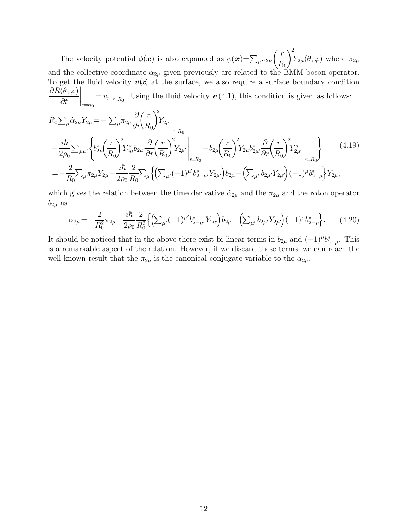The velocity potential  $\phi(\boldsymbol{x})$  is also expanded as  $\phi(\boldsymbol{x}) = \sum_{\mu} \pi_{2\mu}$  $\int r$  $R_{0}$  $\setminus^2$  $Y_{2\mu}(\theta,\varphi)$  where  $\pi_{2\mu}$ and the collective coordinate  $\alpha_{2\mu}$  given previously are related to the BMM boson operator. To get the fluid velocity  $v(x)$  at the surface, we also require a surface boundary condition  $\partial R(\theta,\varphi)$ ∂t  $\Big|_{r=R_0} = v_r|_{r=R_0}$ . Using the fluid velocity  $\boldsymbol{v}$  (4.1), this condition is given as follows:

$$
R_{0}\sum_{\mu}\dot{\alpha}_{2\mu}Y_{2\mu} = -\sum_{\mu}\pi_{2\mu}\frac{\partial}{\partial r}\left(\frac{r}{R_{0}}\right)^{2}Y_{2\mu}\Big|_{r=R_{0}}
$$
  

$$
-\frac{i\hbar}{2\rho_{0}}\sum_{\mu\mu'}\left\{b_{2\mu}^{*}\left(\frac{r}{R_{0}}\right)^{2}Y_{2\mu}^{*}b_{2\mu'}\frac{\partial}{\partial r}\left(\frac{r}{R_{0}}\right)^{2}Y_{2\mu'}\Big|_{r=R_{0}} - b_{2\mu}\left(\frac{r}{R_{0}}\right)^{2}Y_{2\mu}b_{2\mu'}^{*}\frac{\partial}{\partial r}\left(\frac{r}{R_{0}}\right)^{2}Y_{2\mu'}\Big|_{r=R_{0}}\right\}
$$
  

$$
=-\frac{2}{R_{0}}\sum_{\mu}\pi_{2\mu}Y_{2\mu} - \frac{i\hbar}{2\rho_{0}}\frac{2}{R_{0}}\sum_{\mu}\left\{\left(\sum_{\mu'}(-1)^{\mu'}b_{2-\mu'}^{*}Y_{2\mu'}\right)b_{2\mu} - \left(\sum_{\mu'}b_{2\mu'}Y_{2\mu'}\right)(-1)^{\mu}b_{2-\mu}^{*}\right\}Y_{2\mu},
$$
  
(4.19)

which gives the relation between the time derivative  $\dot{\alpha}_{2\mu}$  and the  $\pi_{2\mu}$  and the roton operator  $b_{2\mu}$  as

$$
\dot{\alpha}_{2\mu} = -\frac{2}{R_0^2} \pi_{2\mu} - \frac{i\hbar}{2\rho_0} \frac{2}{R_0^2} \left\{ \left( \sum_{\mu'} (-1)^{\mu'} b_{2-\mu'}^* Y_{2\mu'} \right) b_{2\mu} - \left( \sum_{\mu'} b_{2\mu'} Y_{2\mu'} \right) (-1)^{\mu} b_{2-\mu}^* \right\}.
$$
 (4.20)

It should be noticed that in the above there exist bi-linear terms in  $b_{2\mu}$  and  $(-1)^{\mu}b_{2-\mu}^*$ . This is a remarkable aspect of the relation. However, if we discard these terms, we can reach the well-known result that the  $\pi_{2\mu}$  is the canonical conjugate variable to the  $\alpha_{2\mu}$ .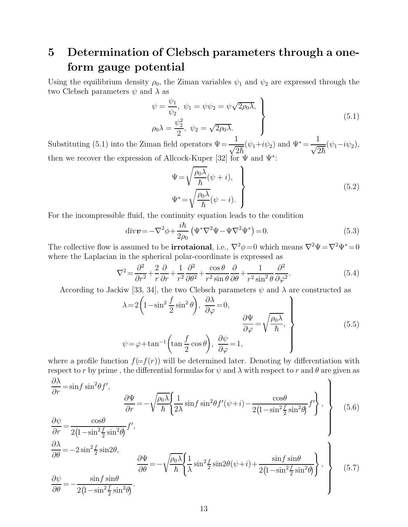### 5 Determination of Clebsch parameters through a oneform gauge potential

Using the equilibrium density  $\rho_0$ , the Ziman variables  $\psi_1$  and  $\psi_2$  are expressed through the two Clebsch parameters  $\psi$  and  $\lambda$  as

$$
\psi = \frac{\psi_1}{\psi_2}, \quad \psi_1 = \psi \psi_2 = \psi \sqrt{2\rho_0 \lambda},
$$
\n
$$
\rho_0 \lambda = \frac{\psi_2^2}{2}, \quad \psi_2 = \sqrt{2\rho_0 \lambda}.
$$
\n(5.1)

Substituting (5.1) into the Ziman field operators  $\Psi = \frac{1}{\sqrt{2\hbar}}$  $(\psi_1 + i\psi_2)$  and  $\Psi^* = \frac{1}{\sqrt{2}}$  $\frac{1}{\sqrt{2\hbar}}(\psi_1 - i\psi_2),$ then we recover the expression of Allcock-Kuper [32] for  $\Psi$  and  $\Psi^*$ :

$$
\Psi = \sqrt{\frac{\rho_0 \lambda}{\hbar}} (\psi + i),
$$
\n
$$
\Psi^* = \sqrt{\frac{\rho_0 \lambda}{\hbar}} (\psi - i).
$$
\n(5.2)

For the incompressible fluid, the continuity equation leads to the condition

$$
\operatorname{div} \boldsymbol{v} = -\nabla^2 \phi + \frac{i\hbar}{2\rho_0} \left( \Psi^* \nabla^2 \Psi - \Psi \nabla^2 \Psi^* \right) = 0. \tag{5.3}
$$

The collective flow is assumed to be **irrotaional**, i.e.,  $\nabla^2 \phi = 0$  which means  $\nabla^2 \Psi = \nabla^2 \Psi^* = 0$ where the Laplacian in the spherical polar-coordinate is expressed as

$$
\nabla^2 = \frac{\partial^2}{\partial r^2} + \frac{2}{r} \frac{\partial}{\partial r} + \frac{1}{r^2} \frac{\partial^2}{\partial \theta^2} + \frac{\cos \theta}{r^2 \sin \theta} \frac{\partial}{\partial \theta} + \frac{1}{r^2 \sin^2 \theta} \frac{\partial^2}{\partial \varphi^2}.
$$
(5.4)

According to Jackiw [33, 34], the two Clebsch parameters  $\psi$  and  $\lambda$  are constructed as

$$
\lambda = 2\left(1 - \sin^2 \frac{f}{2} \sin^2 \theta\right), \frac{\partial \lambda}{\partial \varphi} = 0, \n\psi = \varphi + \tan^{-1}\left(\tan \frac{f}{2} \cos \theta\right), \frac{\partial \psi}{\partial \varphi} = 1,
$$
\n(5.5)

where a profile function  $f(=f(r))$  will be determined later. Denoting by differentiation with respect to r by prime, the differential formulas for  $\psi$  and  $\lambda$  with respect to r and  $\theta$  are given as  $\frac{\partial \lambda}{\partial r} = \sin f \sin^2 \theta f'$ ,  $\lambda$ 

$$
\frac{\partial \Psi}{\partial r} = -\sqrt{\frac{\rho_0 \lambda}{\hbar}} \left\{ \frac{1}{2\lambda} \sin f \sin^2 \theta f'(\psi + i) - \frac{\cos \theta}{2\left(1 - \sin^2 \frac{f}{2} \sin^2 \theta\right)} f' \right\}, \qquad (5.6)
$$

$$
\frac{\partial \psi}{\partial r} = \frac{\cos \theta}{2(1 - \sin^2 \frac{f}{2} \sin^2 \theta)} f',
$$
\n
$$
\frac{\partial \lambda}{\partial \theta} = -2 \sin^2 \frac{f}{2} \sin 2\theta,
$$
\n
$$
\frac{\partial \Psi}{\partial \theta} = -\sqrt{\frac{\rho_0 \lambda}{\hbar}} \left\{ \frac{1}{\lambda} \sin^2 \frac{f}{2} \sin 2\theta (\psi + i) + \frac{\sin f \sin \theta}{2(1 - \sin^2 \frac{f}{2} \sin^2 \theta)} \right\},
$$
\n
$$
\frac{\partial \psi}{\partial \theta} = -\frac{\sin f \sin \theta}{2(1 - \sin^2 \frac{f}{2} \sin^2 \theta)}.
$$
\n(5.7)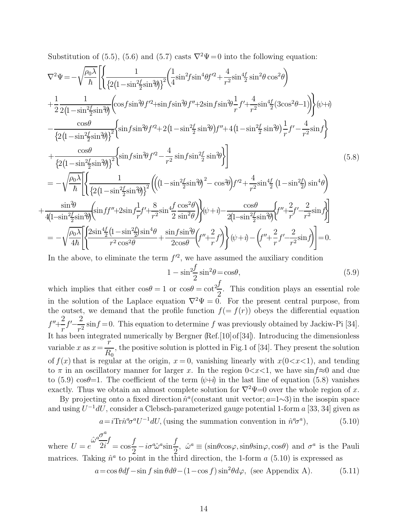Substitution of (5.5), (5.6) and (5.7) casts  $\nabla^2 \Psi = 0$  into the following equation:

$$
\nabla^{2}\Psi = -\sqrt{\frac{\rho_{0}\lambda}{\hbar}} \left[ \left\{ \frac{1}{\left\{2(1-\sin^{2}(\frac{f}{2}\sin^{2}\theta))\right\}^{2}} \left( \frac{1}{4}\sin^{2}f\sin^{4}\theta f'^{2} + \frac{4}{r^{2}}\sin^{2}\theta \cos^{2}\theta \right) \right. \\ + \frac{1}{2} \frac{1}{2(1-\sin^{2}(\frac{f}{2}\sin^{2}\theta))} \left( \cos f\sin^{2}\theta f'^{2} + \sin f\sin^{2}\theta f'' + 2\sin f\sin^{2}\theta \frac{1}{r} f' + \frac{4}{r^{2}}\sin^{4}\theta (3\cos^{2}\theta - 1) \right) \right\} (\psi + i) \\ - \frac{\cos\theta}{\left\{2(1-\sin^{2}(\frac{f}{2}\sin^{2}\theta))\right\}^{2}} \left\{ \sin f\sin^{2}\theta f'^{2} + 2(1-\sin^{2}(\frac{f}{2}\sin^{2}\theta))f'' + 4(1-\sin^{2}(\frac{f}{2}\sin^{2}\theta))\frac{1}{r}f' - \frac{4}{r^{2}}\sin f \right\} \\ + \frac{\cos\theta}{\left\{2(1-\sin^{2}(\frac{f}{2}\sin^{2}\theta))\right\}^{2}} \left\{ \sin f\sin^{2}\theta f'^{2} - \frac{4}{r^{2}}\sin f\sin^{2}\theta \frac{1}{2} \sin^{2}\theta \right\} \right] \qquad (5.8)
$$

$$
= -\sqrt{\frac{\rho_{0}\lambda}{\hbar}} \left[ \left\{ \frac{1}{\left\{2(1-\sin^{2}(\frac{f}{2}\sin^{2}\theta))\right\}^{2}} \left( \left(1-\sin^{2}(\frac{f}{2}\sin^{2}\theta))^{2} - \cos^{2}\theta \right) f'^{2} + \frac{4}{r^{2}}\sin^{4}\theta \frac{1}{2} (1-\sin^{2}(\frac{f}{2})\sin^{4}\theta \right) \right. \\ \frac{\sin^{2}\theta}{4(1-\sin^{2}(\frac{f}{2}\sin^{2}\theta))} \left\{ \sin f'' + 2\sin f \frac{1}{r}f' + \frac{8}{r^{2}}\sin^{4}\frac{1}{2} \frac{\cos^{2}\theta}{\sin^{2}\theta} \right\} (\psi + i) - \frac{\cos\theta}{2(1
$$

In the above, to eliminate the term  $f'^2$ , we have assumed the auxiliary condition

 $^{+}$ 

$$
1 - \sin\frac{2f}{2}\sin^2\theta = \cos\theta,\tag{5.9}
$$

which implies that either  $\cos\theta = 1$  or  $\cos\theta = \cot\frac{1}{2}$ 2 . This condition plays an essential role in the solution of the Laplace equation  $\nabla^2 \Psi = 0$ . For the present central purpose, from the outset, we demand that the profile function  $f(= f(r))$  obeys the differential equation  $f'' + \frac{2}{\cdot}$ r  $f' - \frac{2}{r^2}$  $\frac{2}{r^2}$  sin $f = 0$ . This equation to determine f was previously obtained by Jackiw-Pi [34]. It has been integrated numerically by Bergner (Ref.[10]of[34]). Introducing the dimensionless variable  $x$  as  $x=$ r  $\overline{R_0}$ , the positive solution is plotted in Fig.1 of [34]. They present the solution of  $f(x)$  that is regular at the origin,  $x = 0$ , vanishing linearly with  $x(0 < x < 1)$ , and tending to  $\pi$  in an oscillatory manner for larger x. In the region  $0 < x < 1$ , we have sin $f \approx 0$  and due to (5.9) cos $\theta=1$ . The coefficient of the term  $(\psi+\hat{i})$  in the last line of equation (5.8) vanishes exactly. Thus we obtain an almost complete solution for  $\nabla^2 \Psi = 0$  over the whole region of x.

By projecting onto a fixed direction  $\hat{n}^a$  (constant unit vector;  $a=1~3$ ) in the isospin space and using  $U^{-1}dU$ , consider a Clebsch-parameterized gauge potential 1-form a [33, 34] given as

$$
a = i\text{Tr}\hat{n}^a \sigma^a U^{-1} dU, \text{ (using the summation convention in } \hat{n}^a \sigma^a), \tag{5.10}
$$

where  $U = e$  $\hat{\omega}^a \frac{\sigma^a}{\rho}$  $2i$ f  $=$  cos f  $rac{J}{2} - i\sigma^a \hat{\omega}^a \sin^b$ f 2 ,  $\hat{\omega}^a \equiv (\sin\theta \cos\varphi, \sin\theta \sin\varphi, \cos\theta)$  and  $\sigma^a$  is the Pauli matrices. Taking  $\hat{n}^a$  to point in the third direction, the 1-form a (5.10) is expressed as

$$
a = \cos\theta df - \sin f \sin\theta d\theta - (1 - \cos f)\sin^2\theta d\varphi, \text{ (see Appendix A).} \tag{5.11}
$$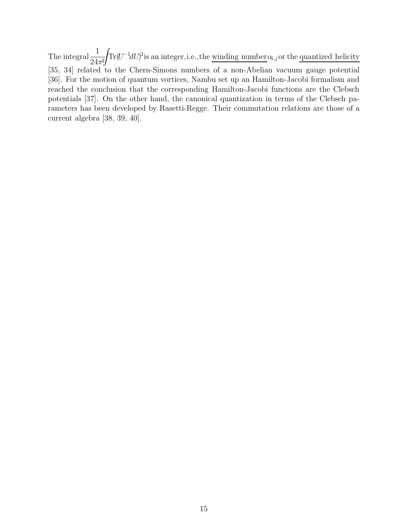The integral  $\frac{1}{24}$  $24\pi^2$ Z  $\text{Tr}(U^{-1}dU)^3$  is an integer, i.e., the winding number  $\alpha_{i,j}$  or the quantized helicity [35, 34] related to the Chern-Simons numbers of a non-Abelian vacuum gauge potential [36]. For the motion of quantum vortices, Nambu set up an Hamilton-Jacobi formalism and reached the conclusion that the corresponding Hamilton-Jacobi functions are the Clebsch potentials [37]. On the other hand, the canonical quantization in terms of the Clebsch parameters has been developed by Rasetti-Regge. Their commutation relations are those of a current algebra [38, 39, 40].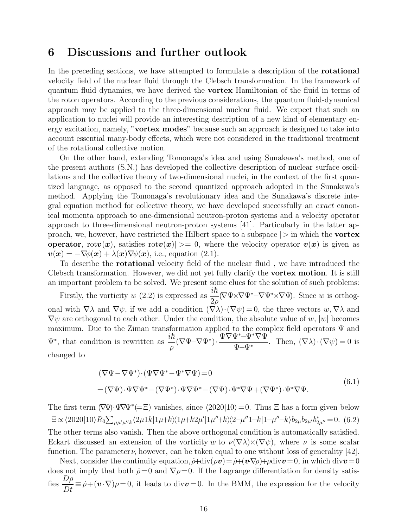### 6 Discussions and further outlook

In the preceding sections, we have attempted to formulate a description of the rotational velocity field of the nuclear fluid through the Clebsch transformation. In the framework of quantum fluid dynamics, we have derived the vortex Hamiltonian of the fluid in terms of the roton operators. According to the previous considerations, the quantum fluid-dynamical approach may be applied to the three-dimensional nuclear fluid. We expect that such an application to nuclei will provide an interesting description of a new kind of elementary energy excitation, namely, "vortex modes" because such an approach is designed to take into account essential many-body effects, which were not considered in the traditional treatment of the rotational collective motion.

On the other hand, extending Tomonaga's idea and using Sunakawa's method, one of the present authors (S.N.) has developed the collective description of nuclear surface oscillations and the collective theory of two-dimensional nuclei, in the context of the first quantized language, as opposed to the second quantized approach adopted in the Sunakawa's method. Applying the Tomonaga's revolutionary idea and the Sunakawa's discrete integral equation method for collective theory, we have developed successfully an exact canonical momenta approach to one-dimensional neutron-proton systems and a velocity operator approach to three-dimensional neutron-proton systems [41]. Particularly in the latter approach, we, however, have restricted the Hilbert space to a subspace  $|>$  in which the **vortex** operator, rot $v(x)$ , satisfies rot $v(x) \geq 0$ , where the velocity operator  $v(x)$  is given as  $\mathbf{v}(\mathbf{x}) = -\nabla\phi(\mathbf{x}) + \lambda(\mathbf{x})\nabla\psi(\mathbf{x})$ , i.e., equation (2.1).

To describe the **rotational** velocity field of the nuclear fluid, we have introduced the Clebsch transformation. However, we did not yet fully clarify the vortex motion. It is still an important problem to be solved. We present some clues for the solution of such problems:

Firstly, the vorticity w (2.2) is expressed as  $\frac{i\hbar}{2}$  $\frac{u}{2\rho}(\nabla\Psi\times\nabla\Psi^*\nabla\Psi^*\times\nabla\Psi)$ . Since w is orthogonal with  $\nabla \lambda$  and  $\nabla \psi$ , if we add a condition  $(\nabla \lambda) \cdot (\nabla \psi) = 0$ , the three vectors  $w, \nabla \lambda$  and  $\nabla \psi$  are orthogonal to each other. Under the condition, the absolute value of w, |w| becomes maximum. Due to the Ziman transformation applied to the complex field operators Ψ and  $\Psi^*$ , that condition is rewritten as  $\frac{i\hbar}{\rho}(\nabla\Psi-\nabla\Psi^*)$ . <sup>Ψ</sup>∇Ψ<sup>∗</sup>−Ψ<sup>∗</sup>∇<sup>Ψ</sup>  $\frac{1}{\Psi-\Psi^*}$ . Then,  $(\nabla \lambda) \cdot (\nabla \psi) = 0$  is changed to

$$
(\nabla \Psi - \nabla \Psi^*) \cdot (\Psi \nabla \Psi^* - \Psi^* \nabla \Psi) = 0
$$
  
= (\nabla \Psi) \cdot \Psi \nabla \Psi^\* - (\nabla \Psi^\*) \cdot \Psi \nabla \Psi^\* - (\nabla \Psi) \cdot \Psi^\* \nabla \Psi + (\nabla \Psi^\*) \cdot \Psi^\* \nabla \Psi. (6.1)

The first term  $(\nabla \Psi) \cdot \Psi \nabla \Psi^* (= \Xi)$  vanishes, since  $\langle 2020|10 \rangle = 0$ . Thus  $\Xi$  has a form given below  $\Xi \propto \langle 2020|10\rangle R_0 \sum_{\mu\mu'\mu''k} \langle 2\mu 1k|1\mu+k \rangle \langle 1\mu+k2\mu'|1\mu''+k \rangle \langle 2-\mu''1-k|1-\mu''-k \rangle b_{2\mu}b_{2\mu'}b_{2\mu''}^* = 0.$  (6.2) The other terms also vanish. Then the above orthogonal condition is automatically satisfied. Eckart discussed an extension of the vorticity w to  $\nu(\nabla\lambda)\times(\nabla\psi)$ , where  $\nu$  is some scalar function. The parameter  $\nu$ , however, can be taken equal to one without loss of generality [42].

Next, consider the continuity equation,  $\dot{\rho}+\text{div}(\rho v)=\dot{\rho}+(\boldsymbol{v}\cdot\nabla\rho)+\rho\text{div}v=0$ , in which div $v=0$ does not imply that both  $\rho = 0$  and  $\nabla \rho = 0$ . If the Lagrange differentiation for density satisfies  $\frac{D\rho}{Dt} \equiv \dot{\rho} + (\mathbf{v} \cdot \nabla)\rho = 0$ , it leads to div $\mathbf{v} = 0$ . In the BMM, the expression for the velocity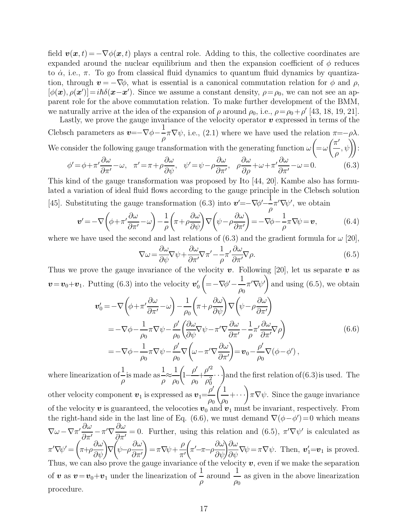field  $\mathbf{v}(\mathbf{x}, t) = -\nabla \phi(\mathbf{x}, t)$  plays a central role. Adding to this, the collective coordinates are expanded around the nuclear equilibrium and then the expansion coefficient of  $\phi$  reduces to  $\dot{\alpha}$ , i.e.,  $\pi$ . To go from classical fluid dynamics to quantum fluid dynamics by quantization, through  $v = -\nabla \phi$ , what is essential is a canonical commutation relation for  $\phi$  and  $\rho$ ,  $[\phi(\mathbf{x}), \rho(\mathbf{x}')] = i\hbar \delta(\mathbf{x} - \mathbf{x}')$ . Since we assume a constant density,  $\rho = \rho_0$ , we can not see an apparent role for the above commutation relation. To make further development of the BMM, we naturally arrive at the idea of the expansion of  $\rho$  around  $\rho_0$ , i.e.,  $\rho = \rho_0 + \rho'$  [43, 18, 19, 21]. Lastly, we prove the gauge invariance of the velocity operator  $v$  expressed in terms of the

Clebsch parameters as  $\mathbf{v}=-\nabla\phi-\frac{1}{a}$  $-\frac{1}{\rho}\pi\nabla\psi$ , i.e., (2.1) where we have used the relation  $\pi = -\rho\lambda$ . We consider the following gauge transformation with the generating function  $\omega$  $\sqrt{ }$  $=\omega$  $\sqrt{\pi}$ ρ  $,\psi$ ):  $\frac{\partial \omega}{\partial \omega}$  +  $\omega$  +  $\pi'$ 

$$
\phi' = \phi + \pi' \frac{\partial \omega}{\partial \pi'} - \omega, \quad \pi' = \pi + \rho \frac{\partial \omega}{\partial \psi}, \quad \psi' = \psi - \rho \frac{\partial \omega}{\partial \pi'}, \quad \rho \frac{\partial \omega}{\partial \rho} + \omega + \pi' \frac{\partial \omega}{\partial \pi'} - \omega = 0.
$$
 (6.3)

This kind of the gauge transformation was proposed by Ito [44, 20]. Kambe also has formulated a variation of ideal fluid flows according to the gauge principle in the Clebsch solution [45]. Substituting the gauge transformation (6.3) into  $v' = -\nabla \phi' - \frac{1}{g}$ ρ  $\pi' \nabla \psi'$ , we obtain

$$
\mathbf{v}' = -\nabla \left( \phi + \pi' \frac{\partial \omega}{\partial \pi'} - \omega \right) - \frac{1}{\rho} \left( \pi + \rho \frac{\partial \omega}{\partial \psi} \right) \nabla \left( \psi - \rho \frac{\partial \omega}{\partial \pi'} \right) = -\nabla \phi - \frac{1}{\rho} \pi \nabla \psi = \mathbf{v},\tag{6.4}
$$

where we have used the second and last relations of (6.3) and the gradient formula for  $\omega$  [20],

$$
\nabla \omega = \frac{\partial \omega}{\partial \psi} \nabla \psi + \frac{\partial \omega}{\partial \pi'} \nabla \pi' - \frac{1}{\rho} \pi' \frac{\partial \omega}{\partial \pi'} \nabla \rho.
$$
\n(6.5)

Thus we prove the gauge invariance of the velocity v. Following [20], let us separate v as  $\boldsymbol{v} = \boldsymbol{v}_0 + \boldsymbol{v}_1$ . Putting (6.3) into the velocity  $\boldsymbol{v}'_0$  $\sqrt{ }$  $=-\nabla\phi'-\frac{1}{\alpha}$  $\rho_0$  $\pi'\nabla\psi'\bigg)$ and using (6.5), we obtain

$$
\mathbf{v}'_0 = -\nabla \left( \phi + \pi' \frac{\partial \omega}{\partial \pi'} - \omega \right) - \frac{1}{\rho_0} \left( \pi + \rho \frac{\partial \omega}{\partial \psi} \right) \nabla \left( \psi - \rho \frac{\partial \omega}{\partial \pi'} \right)
$$
  
\n
$$
= -\nabla \phi - \frac{1}{\rho_0} \pi \nabla \psi - \frac{\rho'}{\rho_0} \left( \frac{\partial \omega}{\partial \psi} \nabla \psi - \pi' \nabla \frac{\partial \omega}{\partial \pi'} - \frac{1}{\rho} \pi' \frac{\partial \omega}{\partial \pi'} \nabla \rho \right)
$$
  
\n
$$
= -\nabla \phi - \frac{1}{\rho_0} \pi \nabla \psi - \frac{\rho'}{\rho_0} \nabla \left( \omega - \pi' \nabla \frac{\partial \omega}{\partial \pi'} \right) = \mathbf{v}_0 - \frac{\rho'}{\rho_0} \nabla (\phi - \phi'),
$$
\n(6.6)

where linearization of  $\frac{1}{1}$ ρ is made as  $\frac{1}{1}$ ρ ≈ 1  $\rho_0$  $\sqrt{ }$ 1−  $\rho'$  $\rho_0$  $+$  $\rho'^2$  $\frac{\rho'^2}{\rho_0^2}$ ...) and the first relation of (6.3) is used. The other velocity component  $\boldsymbol{v}_1$  is expressed as  $\boldsymbol{v}_1 = \frac{\rho'}{2}$  $\rho_0$  $(1)$  $\left(\frac{1}{\rho_0} + \cdots \right) \pi \nabla \psi$ . Since the gauge invariance of the velocity  $v$  is guaranteed, the velocoties  $v_0$  and  $v_1$  must be invariant, respectively. From the right-hand side in the last line of Eq. (6.6), we must demand  $\nabla(\phi - \phi') = 0$  which means  $\nabla\omega-\nabla\pi'\frac{\partial\omega}{\partial\pi'}$  $\frac{\partial \omega}{\partial \pi'}\!-\!\pi'\nabla \frac{\partial \omega}{\partial \pi'}$  $\frac{\partial \omega}{\partial \pi'} = 0$ . Further, using this relation and (6.5),  $\pi' \nabla \psi'$  is calculated as  $\pi'\nabla\psi' =$  $\sqrt{ }$  $\pi + \rho$  $\frac{\partial \omega}{\partial \psi}\bigg)\nabla$ 7.  $\psi-\rho$ ∂ω  $\partial$ π'  $\setminus$  $=\pi \nabla \psi +$ ρ  $\pi'$  $\sqrt{ }$  $\left(\pi'-\pi-\rho\frac{\partial\omega}{\partial\psi}\right)\frac{\partial\omega}{\partial\psi}\nabla\psi=\pi\nabla\psi.$  Then,  $\mathbf{v}_1'=\mathbf{v}_1$  is proved. Thus, we can also prove the gauge invariance of the velocity  $v$ , even if we make the separation of **v** as  $v=v_0+v_1$  under the linearization of  $\frac{1}{\rho}$  around  $\frac{1}{\rho_0}$  as given in the above linearization procedure.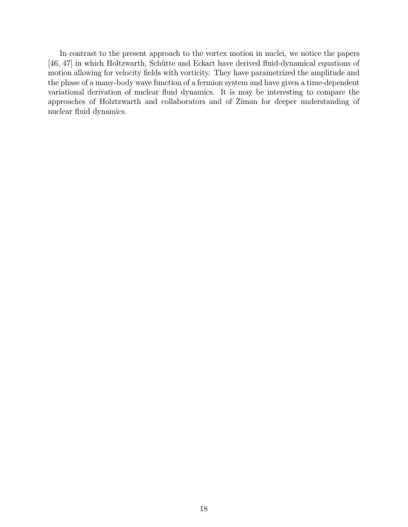In contrast to the present approach to the vortex motion in nuclei, we notice the papers [46, 47] in which Holtzwarth, Schütte and Eckart have derived fluid-dynamical equations of motion allowing for velocity fields with vorticity. They have parametrized the amplitude and the phase of a many-body wave function of a fermion system and have given a time-dependent variational derivation of nuclear fluid dynamics. It is may be interesting to compare the approaches of Holztzwarth and collaborators and of Ziman for deeper understanding of nuclear fluid dynamics.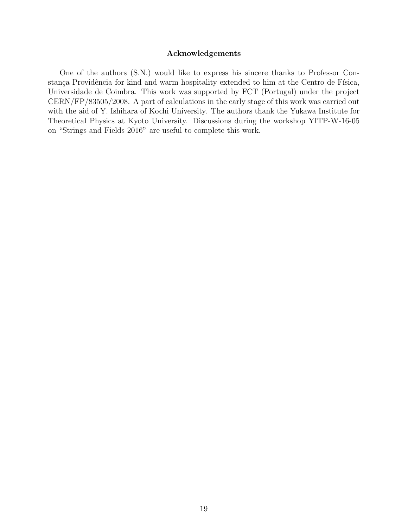#### Acknowledgements

One of the authors (S.N.) would like to express his sincere thanks to Professor Constança Providência for kind and warm hospitality extended to him at the Centro de Física, Universidade de Coimbra. This work was supported by FCT (Portugal) under the project CERN/FP/83505/2008. A part of calculations in the early stage of this work was carried out with the aid of Y. Ishihara of Kochi University. The authors thank the Yukawa Institute for Theoretical Physics at Kyoto University. Discussions during the workshop YITP-W-16-05 on "Strings and Fields 2016" are useful to complete this work.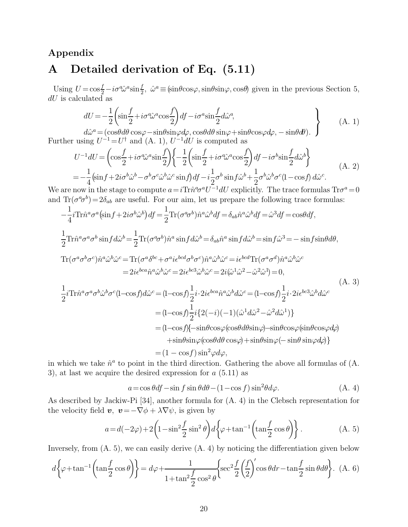## Appendix A Detailed derivation of Eq. (5.11)

Using  $U = \cos{\frac{f}{2}} - i\sigma \hat{\omega}^a \sin{\frac{f}{2}}$ ,  $\hat{\omega}^a \equiv (\sin\theta \cos\varphi, \sin\theta \sin\varphi, \cos\theta)$  given in the previous Section 5,  $dU$  is calculated as

$$
dU = -\frac{1}{2} \left( \sin \frac{f}{2} + i \sigma^a \hat{\omega}^a \cos \frac{f}{2} \right) df - i \sigma^a \sin \frac{f}{2} d\hat{\omega}^a, \tag{A. 1}
$$

 $d\hat{\omega}^a = (\cos\theta d\theta \cos\varphi - \sin\theta \sin\varphi d\varphi, \cos\theta d\theta \sin\varphi + \sin\theta \cos\varphi d\varphi, -\sin\theta d\theta).$ Further using  $U^{-1} = U^{\dagger}$  and (A. 1),  $U^{-1}dU$  is computed as

$$
U^{-1}dU = \left(\cos\frac{f}{2} + i\sigma\hat{\omega}^a\sin\frac{f}{2}\right) \left\{-\frac{1}{2}\left(\sin\frac{f}{2} + i\sigma\hat{\omega}^a\cos\frac{f}{2}\right)df - i\sigma^b\sin\frac{f}{2}d\hat{\omega}^b\right\}
$$
  
=  $-\frac{1}{4}\left(\sin f + 2i\sigma^b\hat{\omega}^b - \sigma^b\sigma^c\hat{\omega}^b\hat{\omega}^c\sin f\right)df - i\frac{1}{2}\sigma^b\sin f\hat{\omega}^b + \frac{1}{2}\sigma^b\hat{\omega}^b\sigma^c(1 - \cos f)\,d\hat{\omega}^c.$  (A. 2)

We are now in the stage to compute  $a = i\text{Tr}\hat{n}^a \sigma^a U^{-1} dU$  explicitly. The trace formulas  $\text{Tr}\sigma^a = 0$ and  $\text{Tr}(\sigma^a \sigma^b) = 2\delta_{ab}$  are useful. For our aim, let us prepare the following trace formulas:

$$
-\frac{1}{4}i\text{Tr}\hat{n}^{a}\sigma^{a}(\sin f + 2i\sigma^{b}\hat{\omega}^{b})df = \frac{1}{2}\text{Tr}(\sigma^{a}\sigma^{b})\hat{n}^{a}\hat{\omega}^{b}df = \delta_{ab}\hat{n}^{a}\hat{\omega}^{b}df = \hat{\omega}^{3}df = \cos\theta df,
$$
  
\n
$$
\frac{1}{2}\text{Tr}\hat{n}^{a}\sigma^{a}\sigma^{b}\sin f d\hat{\omega}^{b} = \frac{1}{2}\text{Tr}(\sigma^{a}\sigma^{b})\hat{n}^{a}\sin f d\hat{\omega}^{b} = \delta_{ab}\hat{n}^{a}\sin f d\hat{\omega}^{b} = \sin f\hat{\omega}^{3} = -\sin f\sin\theta d\theta,
$$
  
\n
$$
\text{Tr}(\sigma^{a}\sigma^{b}\sigma^{c})\hat{n}^{a}\hat{\omega}^{b}\hat{\omega}^{c} = \text{Tr}(\sigma^{a}\sigma^{bc} + \sigma^{a}ie^{bcd}\sigma^{b}\sigma^{c})\hat{n}^{a}\hat{\omega}^{b}\hat{\omega}^{c} = ie^{bcd}\text{Tr}(\sigma^{a}\sigma^{d})\hat{n}^{a}\hat{\omega}^{b}\hat{\omega}^{c}
$$
  
\n
$$
= 2ie^{bca}\hat{n}^{a}\hat{\omega}^{b}\hat{\omega}^{c} = 2ie^{bca}\hat{\omega}^{b}\hat{\omega}^{c} = 2i(\hat{\omega}^{1}\hat{\omega}^{2} - \hat{\omega}^{2}\hat{\omega}^{1}) = 0,
$$
  
\n
$$
\frac{1}{2}i\text{Tr}\hat{n}^{a}\sigma^{a}\sigma^{b}\hat{\omega}^{b}\sigma^{c}(1-\cos f)d\hat{\omega}^{c} = (1-\cos f)\frac{1}{2}i\cdot 2ie^{bca}\hat{n}^{a}\hat{\omega}^{b}d\hat{\omega}^{c} = (1-\cos f)\frac{1}{2}i\cdot 2ie^{bca}\hat{\omega}^{b}d\hat{\omega}^{c}
$$
  
\n
$$
= (1-\cos f)\frac{1}{2}i\{2(-i)(-1)(\hat{\omega}^{1}d\hat{\omega}^{2} - \hat{\omega}^{2}d\hat{\omega}^{1})\}
$$
  
\n
$$
= (1-\cos f)\{-\sin\theta\cos\varphi(\cos\theta d\theta\sin\varphi) - \sin\theta\cos\varphi(\
$$

in which we take  $\hat{n}^a$  to point in the third direction. Gathering the above all formulas of  $(A, A)$ 3), at last we acquire the desired expression for  $a(5.11)$  as

$$
a = \cos\theta df - \sin f \sin\theta d\theta - (1 - \cos f)\sin^2\theta d\varphi.
$$
 (A. 4)

As described by Jackiw-Pi [34], another formula for (A. 4) in the Clebsch representation for the velocity field  $v, v = -\nabla \phi + \lambda \nabla \psi$ , is given by

$$
a = d(-2\varphi) + 2\left(1 - \sin^2\frac{f}{2}\sin^2\theta\right)d\left\{\varphi + \tan^{-1}\left(\tan\frac{f}{2}\cos\theta\right)\right\}.
$$
 (A. 5)

Inversely, from (A. 5), we can easily derive (A. 4) by noticing the differentiation given below

$$
d\left\{\varphi + \tan^{-1}\left(\tan\frac{f}{2}\cos\theta\right)\right\} = d\varphi + \frac{1}{1 + \tan^2\frac{f}{2}\cos^2\theta} \left\{\sec^2\frac{f}{2}\left(\frac{f}{2}\right)'\cos\theta dr - \tan\frac{f}{2}\sin\theta d\theta\right\}.
$$
 (A. 6)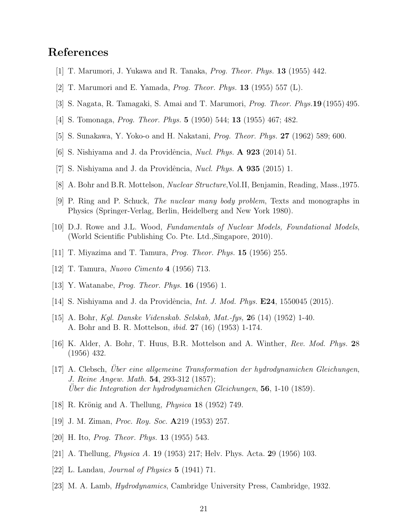### References

- [1] T. Marumori, J. Yukawa and R. Tanaka, Prog. Theor. Phys. 13 (1955) 442.
- [2] T. Marumori and E. Yamada, Prog. Theor. Phys. 13 (1955) 557 (L).
- [3] S. Nagata, R. Tamagaki, S. Amai and T. Marumori, Prog. Theor. Phys.19 (1955) 495.
- [4] S. Tomonaga, Prog. Theor. Phys. 5 (1950) 544; 13 (1955) 467; 482.
- [5] S. Sunakawa, Y. Yoko-o and H. Nakatani, Prog. Theor. Phys. 27 (1962) 589; 600.
- [6] S. Nishiyama and J. da Providência, *Nucl. Phys.*  $\bf{A}$  **923** (2014) 51.
- [7] S. Nishiyama and J. da Providência, *Nucl. Phys.*  $\bf{A}$  935 (2015) 1.
- [8] A. Bohr and B.R. Mottelson, Nuclear Structure,Vol.II, Benjamin, Reading, Mass.,1975.
- [9] P. Ring and P. Schuck, The nuclear many body problem, Texts and monographs in Physics (Springer-Verlag, Berlin, Heidelberg and New York 1980).
- [10] D.J. Rowe and J.L. Wood, Fundamentals of Nuclear Models, Foundational Models, (World Scientific Publishing Co. Pte. Ltd.,Singapore, 2010).
- [11] T. Miyazima and T. Tamura, Prog. Theor. Phys. 15 (1956) 255.
- [12] T. Tamura, Nuovo Cimento 4 (1956) 713.
- [13] Y. Watanabe, *Prog. Theor. Phys.* **16** (1956) 1.
- [14] S. Nishiyama and J. da Providência, *Int. J. Mod. Phys.*  $E24$ , 1550045 (2015).
- [15] A. Bohr, Kgl. Danske Videnskab. Selskab, Mat.-fys, 26 (14) (1952) 1-40. A. Bohr and B. R. Mottelson, ibid. 27 (16) (1953) 1-174.
- [16] K. Alder, A. Bohr, T. Huus, B.R. Mottelson and A. Winther, Rev. Mod. Phys. 28 (1956) 432.
- [17] A. Clebsch, Über eine allgemeine Transformation der hydrodynamichen Gleichungen, J. Reine Angew. Math. 54, 293-312 (1857); Uber die Integration der hydrodynamichen Gleichungen,  $56$ , 1-10 (1859).
- [18] R. Krönig and A. Thellung, *Physica* 18 (1952) 749.
- [19] J. M. Ziman, Proc. Roy. Soc. A219 (1953) 257.
- [20] H. Ito, Prog. Theor. Phys. 13 (1955) 543.
- [21] A. Thellung, Physica A. 19 (1953) 217; Helv. Phys. Acta. 29 (1956) 103.
- [22] L. Landau, Journal of Physics 5 (1941) 71.
- [23] M. A. Lamb, Hydrodynamics, Cambridge University Press, Cambridge, 1932.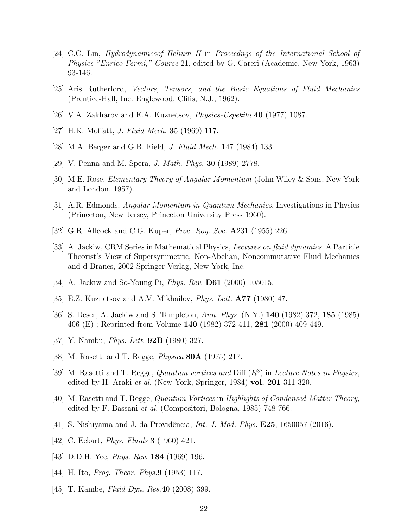- [24] C.C. Lin, Hydrodynamicsof Helium II in Proceedngs of the International School of Physics "Enrico Fermi," Course 21, edited by G. Careri (Academic, New York, 1963) 93-146.
- [25] Aris Rutherford, Vectors, Tensors, and the Basic Equations of Fluid Mechanics (Prentice-Hall, Inc. Englewood, Clifis, N.J., 1962).
- [26] V.A. Zakharov and E.A. Kuznetsov, Physics-Uspekihi 40 (1977) 1087.
- [27] H.K. Moffatt, J. Fluid Mech. 35 (1969) 117.
- [28] M.A. Berger and G.B. Field, J. Fluid Mech. 147 (1984) 133.
- [29] V. Penna and M. Spera, J. Math. Phys. 30 (1989) 2778.
- [30] M.E. Rose, Elementary Theory of Angular Momentum (John Wiley & Sons, New York and London, 1957).
- [31] A.R. Edmonds, Angular Momentum in Quantum Mechanics, Investigations in Physics (Princeton, New Jersey, Princeton University Press 1960).
- [32] G.R. Allcock and C.G. Kuper, *Proc. Roy. Soc.* **A**231 (1955) 226.
- [33] A. Jackiw, CRM Series in Mathematical Physics, Lectures on fluid dynamics, A Particle Theorist's View of Supersymmetric, Non-Abelian, Noncommutative Fluid Mechanics and d-Branes, 2002 Springer-Verlag, New York, Inc.
- [34] A. Jackiw and So-Young Pi, *Phys. Rev.* **D61** (2000) 105015.
- [35] E.Z. Kuznetsov and A.V. Mikhailov, *Phys. Lett.* **A77** (1980) 47.
- [36] S. Deser, A. Jackiw and S. Templeton, Ann. Phys. (N.Y.) 140 (1982) 372, 185 (1985) 406 (E) ; Reprinted from Volume 140 (1982) 372-411, 281 (2000) 409-449.
- [37] Y. Nambu, *Phys. Lett.* **92B** (1980) 327.
- [38] M. Rasetti and T. Regge, Physica 80A (1975) 217.
- [39] M. Rasetti and T. Regge, Quantum vortices and Diff  $(R^3)$  in Lecture Notes in Physics, edited by H. Araki *et al.* (New York, Springer, 1984) **vol. 201** 311-320.
- [40] M. Rasetti and T. Regge, Quantum Vortices in Highlights of Condensed-Matter Theory, edited by F. Bassani et al. (Compositori, Bologna, 1985) 748-766.
- [41] S. Nishiyama and J. da Providência, *Int. J. Mod. Phys.* **E25**, 1650057 (2016).
- [42] C. Eckart, *Phys. Fluids* **3** (1960) 421.
- [43] D.D.H. Yee, *Phys. Rev.* **184** (1969) 196.
- [44] H. Ito, *Prog. Theor. Phys.* **9** (1953) 117.
- [45] T. Kambe, *Fluid Dyn. Res.* 40 (2008) 399.